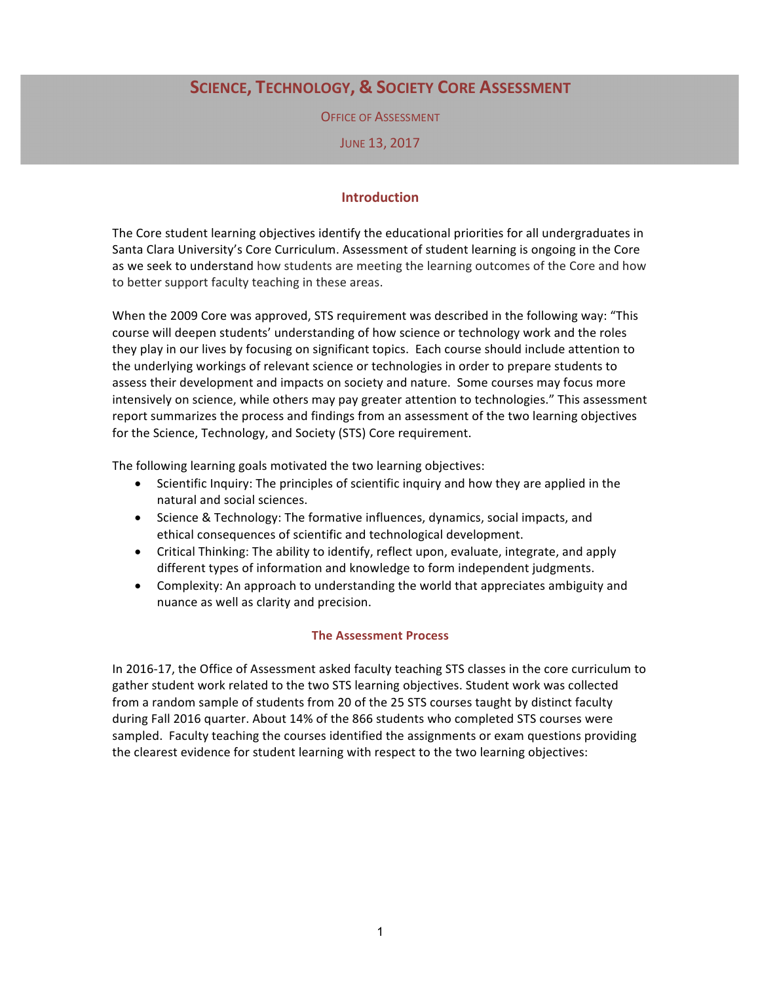# **SCIENCE, TECHNOLOGY, & SOCIETY CORE ASSESSMENT**

**OFFICE OF ASSESSMENT** 

JUNE 13, 2017

## **Introduction**

The Core student learning objectives identify the educational priorities for all undergraduates in Santa Clara University's Core Curriculum. Assessment of student learning is ongoing in the Core as we seek to understand how students are meeting the learning outcomes of the Core and how to better support faculty teaching in these areas.

When the 2009 Core was approved, STS requirement was described in the following way: "This course will deepen students' understanding of how science or technology work and the roles they play in our lives by focusing on significant topics. Each course should include attention to the underlying workings of relevant science or technologies in order to prepare students to assess their development and impacts on society and nature. Some courses may focus more intensively on science, while others may pay greater attention to technologies." This assessment report summarizes the process and findings from an assessment of the two learning objectives for the Science, Technology, and Society (STS) Core requirement.

The following learning goals motivated the two learning objectives:

- Scientific Inquiry: The principles of scientific inquiry and how they are applied in the natural and social sciences.
- Science & Technology: The formative influences, dynamics, social impacts, and ethical consequences of scientific and technological development.
- Critical Thinking: The ability to identify, reflect upon, evaluate, integrate, and apply different types of information and knowledge to form independent judgments.
- Complexity: An approach to understanding the world that appreciates ambiguity and nuance as well as clarity and precision.

#### **The Assessment Process**

In 2016-17, the Office of Assessment asked faculty teaching STS classes in the core curriculum to gather student work related to the two STS learning objectives. Student work was collected from a random sample of students from 20 of the 25 STS courses taught by distinct faculty during Fall 2016 quarter. About 14% of the 866 students who completed STS courses were sampled. Faculty teaching the courses identified the assignments or exam questions providing the clearest evidence for student learning with respect to the two learning objectives: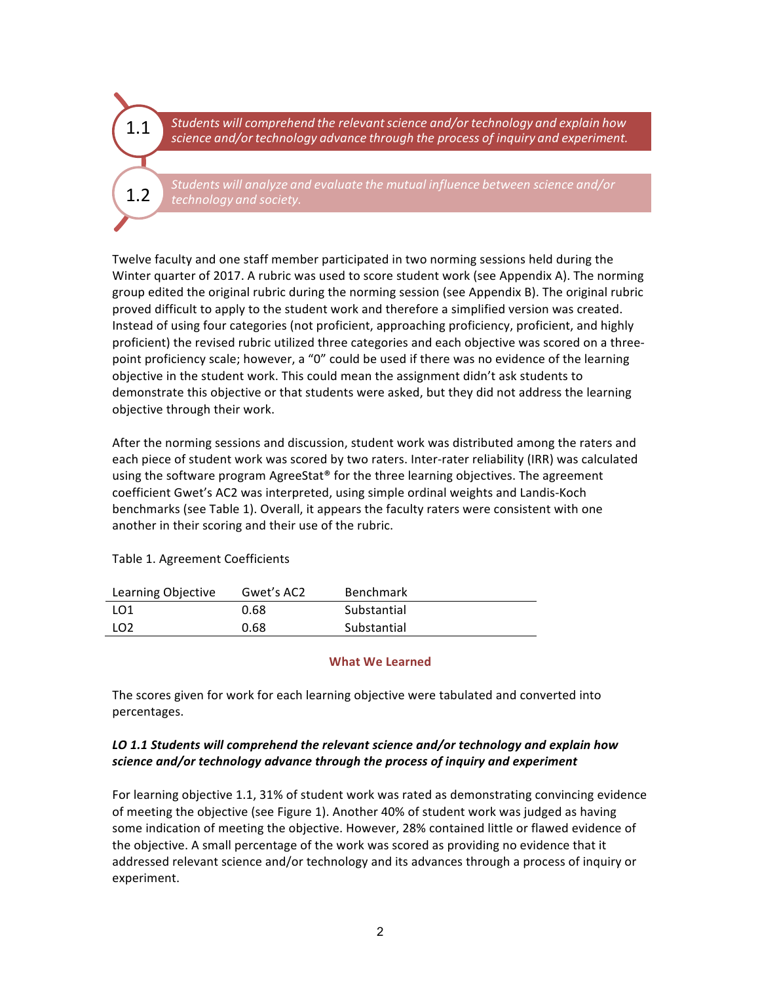1.1

1.2

Students will comprehend the relevant science and/or technology and explain how science and/or technology advance through the process of inquiry and experiment.

Students will analyze and evaluate the mutual influence between science and/or *technology and society.*

Twelve faculty and one staff member participated in two norming sessions held during the Winter quarter of 2017. A rubric was used to score student work (see Appendix A). The norming group edited the original rubric during the norming session (see Appendix B). The original rubric proved difficult to apply to the student work and therefore a simplified version was created. Instead of using four categories (not proficient, approaching proficiency, proficient, and highly proficient) the revised rubric utilized three categories and each objective was scored on a threepoint proficiency scale; however, a "0" could be used if there was no evidence of the learning objective in the student work. This could mean the assignment didn't ask students to demonstrate this objective or that students were asked, but they did not address the learning objective through their work.

After the norming sessions and discussion, student work was distributed among the raters and each piece of student work was scored by two raters. Inter-rater reliability (IRR) was calculated using the software program  $A$ greeStat® for the three learning objectives. The agreement coefficient Gwet's AC2 was interpreted, using simple ordinal weights and Landis-Koch benchmarks (see Table 1). Overall, it appears the faculty raters were consistent with one another in their scoring and their use of the rubric.

| Learning Objective | Gwet's AC2 | <b>Benchmark</b> |
|--------------------|------------|------------------|
| LO1                | 0.68       | Substantial      |
| LO <sub>2</sub>    | 0.68       | Substantial      |

## Table 1. Agreement Coefficients

#### **What We Learned**

The scores given for work for each learning objective were tabulated and converted into percentages.

## LO 1.1 Students will comprehend the relevant science and/or technology and explain how *science and/or technology advance through the process of inquiry and experiment*

For learning objective 1.1, 31% of student work was rated as demonstrating convincing evidence of meeting the objective (see Figure 1). Another 40% of student work was judged as having some indication of meeting the objective. However, 28% contained little or flawed evidence of the objective. A small percentage of the work was scored as providing no evidence that it addressed relevant science and/or technology and its advances through a process of inquiry or experiment.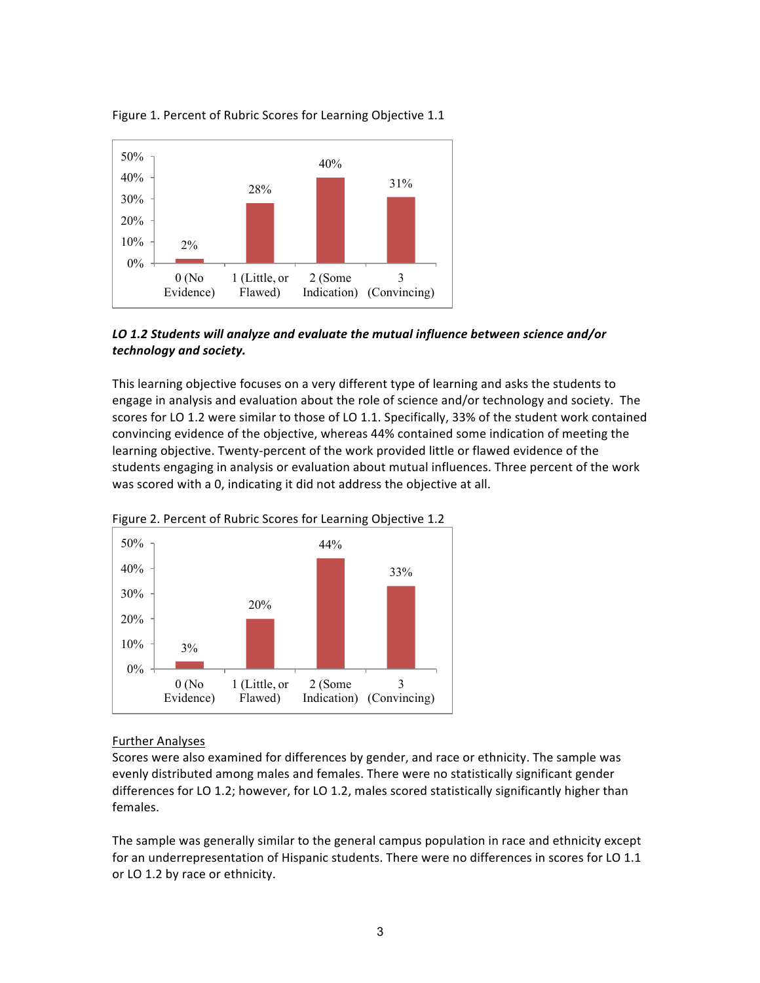



## LO 1.2 Students will analyze and evaluate the mutual influence between science and/or *technology and society.*

This learning objective focuses on a very different type of learning and asks the students to engage in analysis and evaluation about the role of science and/or technology and society. The scores for LO 1.2 were similar to those of LO 1.1. Specifically, 33% of the student work contained convincing evidence of the objective, whereas 44% contained some indication of meeting the learning objective. Twenty-percent of the work provided little or flawed evidence of the students engaging in analysis or evaluation about mutual influences. Three percent of the work was scored with a 0, indicating it did not address the objective at all.



Figure 2. Percent of Rubric Scores for Learning Objective 1.2

## **Further Analyses**

Scores were also examined for differences by gender, and race or ethnicity. The sample was evenly distributed among males and females. There were no statistically significant gender differences for LO 1.2; however, for LO 1.2, males scored statistically significantly higher than females. 

The sample was generally similar to the general campus population in race and ethnicity except for an underrepresentation of Hispanic students. There were no differences in scores for LO 1.1 or LO 1.2 by race or ethnicity.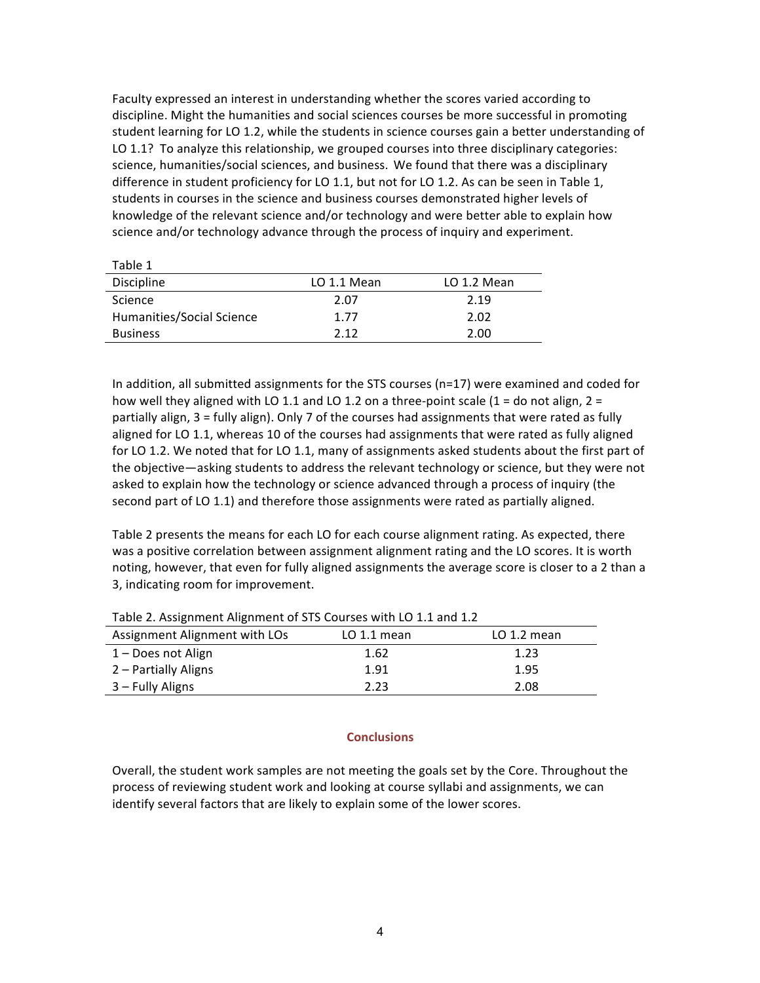Faculty expressed an interest in understanding whether the scores varied according to discipline. Might the humanities and social sciences courses be more successful in promoting student learning for LO 1.2, while the students in science courses gain a better understanding of LO 1.1? To analyze this relationship, we grouped courses into three disciplinary categories: science, humanities/social sciences, and business. We found that there was a disciplinary difference in student proficiency for LO 1.1, but not for LO 1.2. As can be seen in Table 1, students in courses in the science and business courses demonstrated higher levels of knowledge of the relevant science and/or technology and were better able to explain how science and/or technology advance through the process of inquiry and experiment.

| Table 1                   |             |             |
|---------------------------|-------------|-------------|
| Discipline                | LO 1.1 Mean | LO 1.2 Mean |
| <b>Science</b>            | 2.07        | 2.19        |
| Humanities/Social Science | 1.77        | 2.02        |
| <b>Business</b>           | 212         | 2.00        |

In addition, all submitted assignments for the STS courses ( $n=17$ ) were examined and coded for how well they aligned with LO 1.1 and LO 1.2 on a three-point scale  $(1 =$  do not align,  $2 =$ partially align,  $3 =$  fully align). Only 7 of the courses had assignments that were rated as fully aligned for LO 1.1, whereas 10 of the courses had assignments that were rated as fully aligned for LO 1.2. We noted that for LO 1.1, many of assignments asked students about the first part of the objective—asking students to address the relevant technology or science, but they were not asked to explain how the technology or science advanced through a process of inquiry (the second part of LO 1.1) and therefore those assignments were rated as partially aligned.

Table 2 presents the means for each LO for each course alignment rating. As expected, there was a positive correlation between assignment alignment rating and the LO scores. It is worth noting, however, that even for fully aligned assignments the average score is closer to a 2 than a 3, indicating room for improvement.

| Assignment Alignment with LOs | $LO$ 1.1 mean | $LO$ 1.2 mean |
|-------------------------------|---------------|---------------|
| 1 – Does not Align            | 1.62          | 1.23          |
| 2 – Partially Aligns          | 1.91          | 1.95          |
| 3 – Fully Aligns              | 2.23          | 2.08          |

Table 2. Assignment Alignment of STS Courses with LO 1.1 and 1.2

#### **Conclusions**

Overall, the student work samples are not meeting the goals set by the Core. Throughout the process of reviewing student work and looking at course syllabi and assignments, we can identify several factors that are likely to explain some of the lower scores.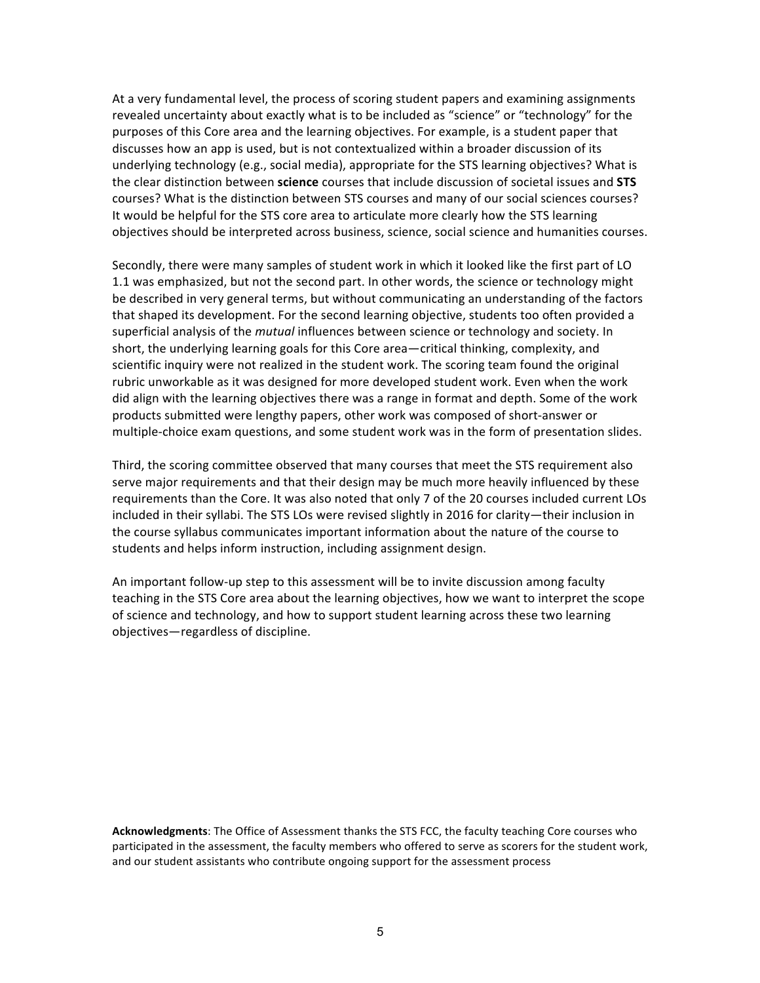At a very fundamental level, the process of scoring student papers and examining assignments revealed uncertainty about exactly what is to be included as "science" or "technology" for the purposes of this Core area and the learning objectives. For example, is a student paper that discusses how an app is used, but is not contextualized within a broader discussion of its underlying technology (e.g., social media), appropriate for the STS learning objectives? What is the clear distinction between science courses that include discussion of societal issues and **STS** courses? What is the distinction between STS courses and many of our social sciences courses? It would be helpful for the STS core area to articulate more clearly how the STS learning objectives should be interpreted across business, science, social science and humanities courses.

Secondly, there were many samples of student work in which it looked like the first part of LO 1.1 was emphasized, but not the second part. In other words, the science or technology might be described in very general terms, but without communicating an understanding of the factors that shaped its development. For the second learning objective, students too often provided a superficial analysis of the *mutual* influences between science or technology and society. In short, the underlying learning goals for this Core area—critical thinking, complexity, and scientific inquiry were not realized in the student work. The scoring team found the original rubric unworkable as it was designed for more developed student work. Even when the work did align with the learning objectives there was a range in format and depth. Some of the work products submitted were lengthy papers, other work was composed of short-answer or multiple-choice exam questions, and some student work was in the form of presentation slides.

Third, the scoring committee observed that many courses that meet the STS requirement also serve major requirements and that their design may be much more heavily influenced by these requirements than the Core. It was also noted that only 7 of the 20 courses included current LOs included in their syllabi. The STS LOs were revised slightly in 2016 for clarity—their inclusion in the course syllabus communicates important information about the nature of the course to students and helps inform instruction, including assignment design.

An important follow-up step to this assessment will be to invite discussion among faculty teaching in the STS Core area about the learning objectives, how we want to interpret the scope of science and technology, and how to support student learning across these two learning objectives—regardless of discipline.

Acknowledgments: The Office of Assessment thanks the STS FCC, the faculty teaching Core courses who participated in the assessment, the faculty members who offered to serve as scorers for the student work, and our student assistants who contribute ongoing support for the assessment process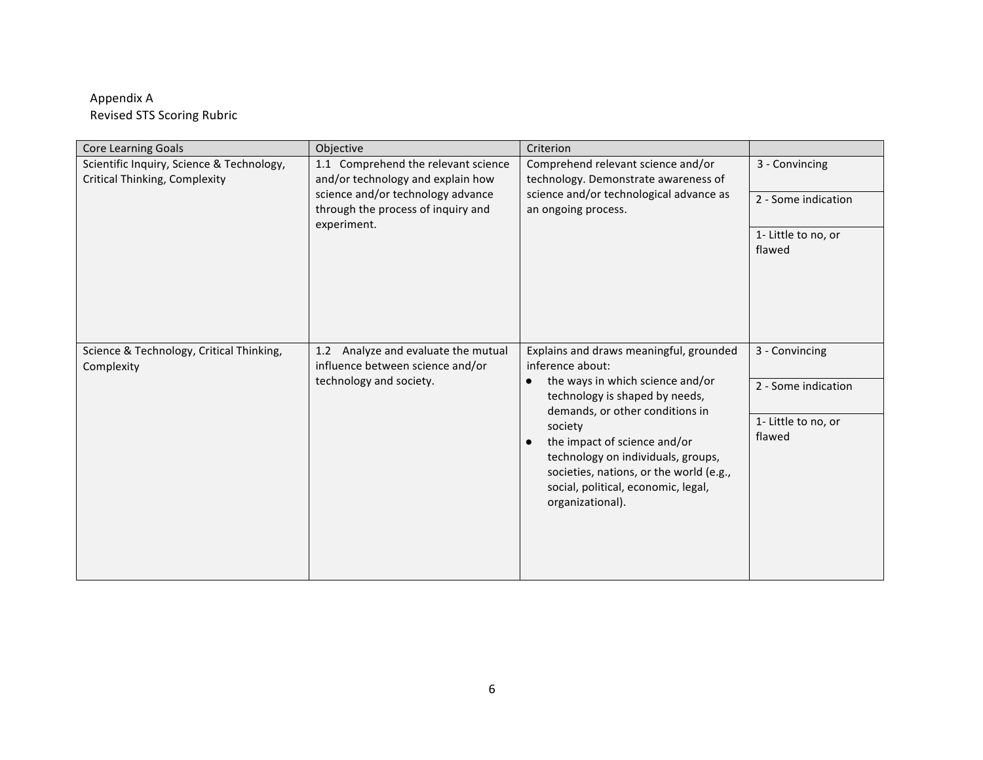# Appendix A Revised STS Scoring Rubric

| <b>Core Learning Goals</b>                                                        | Objective                                                                                                                                                          | Criterion                                                                                                                                                                                                                                                                                                                                                                |                               |
|-----------------------------------------------------------------------------------|--------------------------------------------------------------------------------------------------------------------------------------------------------------------|--------------------------------------------------------------------------------------------------------------------------------------------------------------------------------------------------------------------------------------------------------------------------------------------------------------------------------------------------------------------------|-------------------------------|
| Scientific Inquiry, Science & Technology,<br><b>Critical Thinking, Complexity</b> | 1.1 Comprehend the relevant science<br>and/or technology and explain how<br>science and/or technology advance<br>through the process of inquiry and<br>experiment. | Comprehend relevant science and/or<br>technology. Demonstrate awareness of<br>science and/or technological advance as<br>an ongoing process.                                                                                                                                                                                                                             | 3 - Convincing                |
|                                                                                   |                                                                                                                                                                    |                                                                                                                                                                                                                                                                                                                                                                          | 2 - Some indication           |
|                                                                                   |                                                                                                                                                                    |                                                                                                                                                                                                                                                                                                                                                                          | 1- Little to no, or<br>flawed |
| Science & Technology, Critical Thinking,<br>Complexity                            | Analyze and evaluate the mutual<br>1.2<br>influence between science and/or<br>technology and society.                                                              | Explains and draws meaningful, grounded<br>inference about:<br>the ways in which science and/or<br>technology is shaped by needs,<br>demands, or other conditions in<br>society<br>the impact of science and/or<br>$\bullet$<br>technology on individuals, groups,<br>societies, nations, or the world (e.g.,<br>social, political, economic, legal,<br>organizational). | 3 - Convincing                |
|                                                                                   |                                                                                                                                                                    |                                                                                                                                                                                                                                                                                                                                                                          | 2 - Some indication           |
|                                                                                   |                                                                                                                                                                    |                                                                                                                                                                                                                                                                                                                                                                          | 1- Little to no, or<br>flawed |